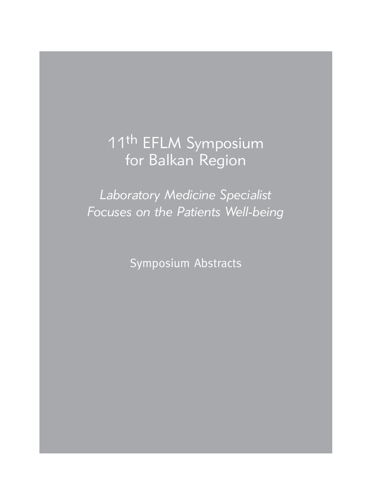# 11th EFLM Symposium for Balkan Region

*Laboratory Medicine Specialist Focuses on the Patients Well-being*

Symposium Abstracts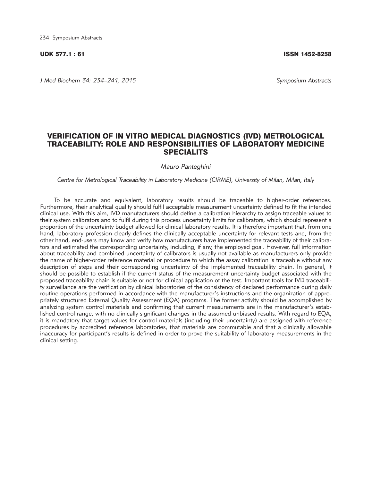#### UDK 577.1 : 61 ISSN 1452-8258

*J Med Biochem 34: 234–241, 2015 Symposium Abstracts*

## VERIFICATION OF IN VITRO MEDICAL DIAGNOSTICS (IVD) METROLOGICAL TRACEABILITY: ROLE AND RESPONSIBILITIES OF LABORATORY MEDICINE SPECIALITS

*Mauro Panteghini* 

*Centre for Metrological Traceability in Laboratory Medicine (CIRME), University of Milan, Milan, Italy*

To be accurate and equivalent, laboratory results should be traceable to higher-order references. Furthermore, their analytical quality should fulfil acceptable measurement uncertainty defined to fit the intended clinical use. With this aim, IVD manufacturers should define a calibration hierarchy to assign traceable values to their system calibrators and to fulfil during this process uncertainty limits for calibrators, which should represent a proportion of the uncertainty budget allowed for clinical laboratory results. It is therefore important that, from one hand, laboratory profession clearly defines the clinically acceptable uncertainty for relevant tests and, from the other hand, end-users may know and verify how manufacturers have implemented the traceability of their calibrators and estimated the corresponding uncertainty, including, if any, the employed goal. However, full information about traceability and combined uncertainty of calibrators is usually not available as manufacturers only provide the name of higher-order reference material or procedure to which the assay calibration is traceable without any description of steps and their corresponding uncertainty of the implemented traceability chain. In general, it should be possible to establish if the current status of the measurement uncertainty budget associated with the proposed traceability chain is suitable or not for clinical application of the test. Important tools for IVD traceability surveillance are the verification by clinical laboratories of the consistency of declared performance during daily routine operations performed in accordance with the manufacturer's instructions and the organization of appropriately structured External Quality Assessment (EQA) programs. The former activity should be accomplished by analyzing system control materials and confirming that current measurements are in the manufacturer's established control range, with no clinically significant changes in the assumed unbiased results. With regard to EQA, it is mandatory that target values for control materials (including their uncertainty) are assigned with reference procedures by accredited reference laboratories, that materials are commutable and that a clinically allowable inaccuracy for participant's results is defined in order to prove the suitability of laboratory measurements in the clinical setting.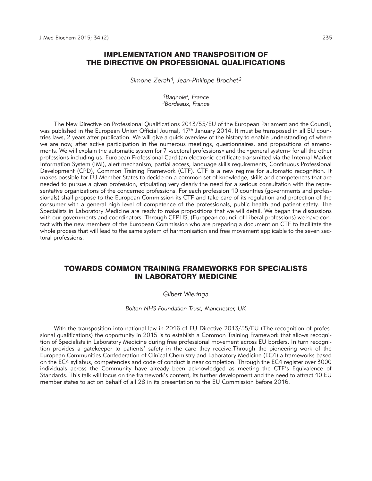# IMPLEMENTATION AND TRANSPOSITION OF THE DIRECTIVE ON PROFESSIONAL QUALIFICATIONS

*Simone Zerah1, Jean-Philippe Brochet2*

*1Bagnolet, France 2Bordeaux, France*

The New Directive on Professional Qualifications 2013/55/EU of the European Parlament and the Council, was published in the European Union Official Journal, 17<sup>th</sup> January 2014. It must be transposed in all EU countries laws, 2 years after publication. We will give a quick overview of the history to enable understanding of where we are now, after active participation in the numerous meetings, questionnaires, and propositions of amendments. We will explain the automatic system for 7 »sectoral professions« and the »general system« for all the other professions including us. European Professional Card (an electronic certificate transmitted via the Internal Market Information System (IMI), alert mechanism, partial access, language skills requirements, Continuous Professional Development (CPD), Common Training Framework (CTF). CTF is a new regime for automatic recognition. It makes possible for EU Member States to decide on a common set of knowledge, skills and competences that are needed to pursue a given profession, stipulating very clearly the need for a serious consultation with the representative organizations of the concerned professions. For each profession 10 countries (governments and professionals) shall propose to the European Commission its CTF and take care of its regulation and protection of the consumer with a general high level of competence of the professionals, public health and patient safety. The Specialists in Laboratory Medicine are ready to make propositions that we will detail. We began the discussions with our governments and coordinators. Through CEPLIS, (European council of Liberal professions) we have contact with the new members of the European Commission who are preparing a document on CTF to facilitate the whole process that will lead to the same system of harmonisation and free movement applicable to the seven sectoral professions.

## TOWARDS COMMON TRAINING FRAMEWORKS FOR SPECIALISTS IN LABORATORY MEDICINE

## *Gilbert Wieringa*

*Bolton NHS Foundation Trust, Manchester, UK*

With the transposition into national law in 2016 of EU Directive 2013/55/EU (The recognition of professional qualifications) the opportunity in 2015 is to establish a Common Training Framework that allows recognition of Specialists in Laboratory Medicine during free professional movement across EU borders. In turn recognition provides a gatekeeper to patients' safety in the care they receive. Through the pioneering work of the European Communities Confederation of Clinical Chemistry and Laboratory Medicine (EC4) a frameworks based on the EC4 syllabus, competencies and code of conduct is near completion. Through the EC4 register over 3000 individuals across the Community have already been acknowledged as meeting the CTF's Equivalence of Standards. This talk will focus on the framework's content, its further development and the need to attract 10 EU member states to act on behalf of all 28 in its presentation to the EU Commission before 2016.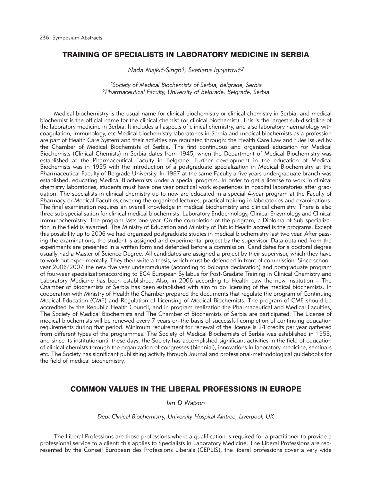# TRAINING OF SPECIALISTS IN LABORATORY MEDICINE IN SERBIA

*Nada Majkić-Singh<sup>1</sup>, Svetlana Ignjatović<sup>2</sup>* 

*1Society of Medical Biochemists of Serbia, Belgrade, Serbia 2Pharmaceutical Faculty, University of Belgrade, Belgrade, Serbia*

Medical biochemistry is the usual name for clinical biochemistry or clinical chemistry in Serbia, and medical biochemist is the official name for the clinical chemist (or clinical biochemist). This is the largest sub-discipline of the laboratory medicine in Serbia. It includes all aspects of clinical chemistry, and also laboratory haematology with coagulation, immunology, etc.Medical biochemistry laboratories in Serbia and medical biochemists as a profession are part of Health Care System and their activities are regulated through: the Health Care Law and rules issued by the Chamber of Medical Biochemists of Serbia. The first continuous and organized education for Medical Biochemists (Clinical Chemists) in Serbia dates from 1945, when the Department of Medical Biochemistry was established at the Pharmaceutical Faculty in Belgrade. Further development in the education of Medical Biochemists was in 1955 with the introduction of a postgraduate specialization in Medical Biochemistry at the Pharmaceutical Faculty of Belgrade University. In 1987 at the same Faculty a five years undergraduate branch was established, educating Medical Biochemists under a special program. In order to get a license to work in clinical chemistry laboratories, students must have one year practical work experiences in hospital laboratories after graduation. The specialists in clinical chemistry up to now are educated in a special 4-year program at the Faculty of Pharmacy or Medical Faculties,covering the organized lectures, practical training in laboratories and examinations. The final examination requires an overall knowledge in medical biochemistry and clinical chemistry. There is also three sub specialisation for clinical medical biochemists: Laboratory Endocrinology, Clinical Enzymology and Clinical Immunochemistry. The program lasts one year. On the completion of the program, a Diploma of Sub specialization in the field is awarded. The Ministry of Education and Ministry of Public Health accredits the programs. Except this possibility up to 2006 we had organized postgraduate studies in medical biochemistry last two year. After passing the examinations, the student is assigned and experimental project by the supervisor. Data obtained from the experiments are presented in a written form and defended before a commission. Candidates for a doctoral degree usually had a Master of Science Degree. All candidates are assigned a project by their supervisor, which they have to work out experimentally. They then write a thesis, which must be defended in front of commission. Since schoolyear 2006/2007 the new five year undergraduate (according to Bologna declaration) and postgraduate program of four-year specializationaccording to EC4 European Syllabus for Post-Gradate Training in Clinical Chemistry and Laboratory Medicine has been established. Also, in 2006 according to Health Law the new institution - The Chamber of Biochemists of Serbia has been established with aim to do licensing of the medical biochemists. In cooperation with Ministry of Health the Chamber prepared the documents that regulate the program of Continuing Medical Education (CME) and Regulation of Licensing of Medical Biochemists. The program of CME should be accredited by the Republic Health Council, and in program realization the Pharmaceutical and Medical Faculties, The Society of Medical Biochemists and The Chamber of Biochemists of Serbia are participated. The License of medical biochemists will be renewed every 7 years on the basis of successful completion of continuing education requirements during that period. Minimum requirement for renewal of the license is 24 credits per year gathered from different types of the programmes. The Society of Medical Biochemists of Serbia was established in 1955, and since its institutionuntil these days, the Society has accomplished significant activities in the field of education of clinical chemists through the organization of congresses (biennial), innovations in laboratory medicine, seminars etc. The Society has significant publishing activity through Journal and professional-methodological guidebooks for the field of medical biochemistry.

## COMMON VALUES IN THE LIBERAL PROFESSIONS IN EUROPE

*Ian D Watson*

*Dept Clinical Biochemistry, University Hospital Aintree, Liverpool, UK*

The Liberal Professions are those professions where a qualification is required for a practitioner to provide a professional service to a client: this applies to Specialists in Laboratory Medicine. The Liberal Professions are represented by the Conseil European des Professions Liberals (CEPLIS), the liberal professions cover a very wide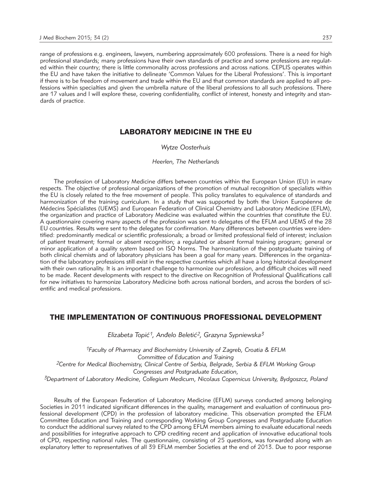range of professions e.g. engineers, lawyers, numbering approximately 600 professions. There is a need for high professional standards; many professions have their own standards of practice and some professions are regulated within their country; there is little commonality across professions and across nations. CEPLIS operates within the EU and have taken the initiative to delineate 'Common Values for the Liberal Professions'. This is important if there is to be freedom of movement and trade within the EU and that common standards are applied to all professions within specialties and given the umbrella nature of the liberal professions to all such professions. There are 17 values and I will explore these, covering confidentiality, conflict of interest, honesty and integrity and standards of practice.

# LABORATORY MEDICINE IN THE EU

## *Wytze Oosterhuis*

#### *Heerlen, The Netherlands*

The profession of Laboratory Medicine differs between countries within the European Union (EU) in many respects. The objective of professional organizations of the promotion of mutual recognition of specialists within the EU is closely related to the free movement of people. This policy translates to equivalence of standards and harmonization of the training curriculum. In a study that was supported by both the Union Européenne de Médecins Spécialistes (UEMS) and European Federation of Clinical Chemistry and Laboratory Medicine (EFLM), the organization and practice of Laboratory Medicine was evaluated within the countries that constitute the EU. A questionnaire covering many aspects of the profession was sent to delegates of the EFLM and UEMS of the 28 EU countries. Results were sent to the delegates for confirmation. Many differences between countries were identified: predominantly medical or scientific professionals; a broad or limited professional field of interest; inclusion of patient treatment; formal or absent recognition; a regulated or absent formal training program; general or minor application of a quality system based on ISO Norms. The harmonization of the postgraduate training of both clinical chemists and of laboratory physicians has been a goal for many years. Differences in the organization of the laboratory professions still exist in the respective countries which all have a long historical development with their own rationality. It is an important challenge to harmonize our profession, and difficult choices will need to be made. Recent developments with respect to the directive on Recognition of Professional Qualifications call for new initiatives to harmonize Laboratory Medicine both across national borders, and across the borders of scientific and medical professions.

# THE IMPLEMENTATION OF CONTINUOUS PROFESSIONAL DEVELOPMENT

*Elizabeta Topi}1, An|elo Beleti}2, Grazyna Sypniewska3*

*1Faculty of Pharmacy and Biochemistry University of Zagreb, Croatia & EFLM Committee of Education and Training 2Centre for Medical Biochemistry, Clinical Centre of Serbia, Belgrade, Serbia & EFLM Working Group Congresses and Postgraduate Education, 3Department of Laboratory Medicine, Collegium Medicum, Nicolaus Copernicus University, Bydgoszcz, Poland*

Results of the European Federation of Laboratory Medicine (EFLM) surveys conducted among belonging Societies in 2011 indicated significant differences in the quality, management and evaluation of continuous professional development (CPD) in the profession of laboratory medicine. This observation prompted the EFLM Committee Education and Training and corresponding Working Group Congresses and Postgraduate Education to conduct the additional survey related to the CPD among EFLM members aiming to evaluate educational needs and possibilities for integrative approach to CPD crediting recent and application of innovative educational tools of CPD, respecting national rules. The questionnaire, consisting of 25 questions, was forwarded along with an explanatory letter to representatives of all 39 EFLM member Societies at the end of 2013. Due to poor response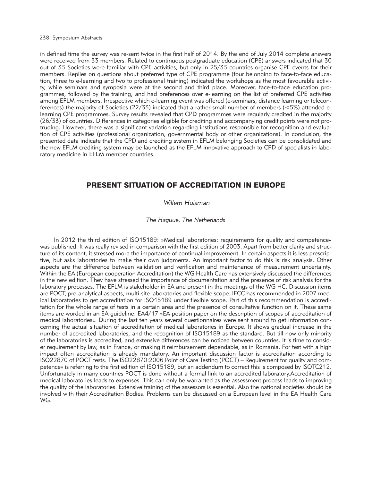in defined time the survey was re-sent twice in the first half of 2014. By the end of July 2014 complete answers were received from 33 members. Related to continuous postgraduate education (CPE) answers indicated that 30 out of 33 Societies were familiar with CPE activities, but only in 25/33 countries organise CPE events for their members. Replies on questions about preferred type of CPE programme (four belonging to face-to-face education, three to e-learning and two to professional training) indicated the workshops as the most favourable activity, while seminars and symposia were at the second and third place. Moreover, face-to-face education programmes, followed by the training, and had preferences over e-learning on the list of preferred CPE activities among EFLM members. Irrespective which e-learning event was offered (e-seminars, distance learning or teleconferences) the majority of Societies (22/33) indicated that a rather small number of members (<5%) attended elearning CPE programmes. Survey results revealed that CPD programmes were regularly credited in the majority (26/33) of countries. Differences in categories eligible for crediting and accompanying credit points were not protruding. However, there was a significant variation regarding institutions responsible for recognition and evaluation of CPE activities (professional organization, governmental body or other organizations). In conclusion, the presented data indicate that the CPD and crediting system in EFLM belonging Societies can be consolidated and the new EFLM crediting system may be launched as the EFLM innovative approach to CPD of specialists in laboratory medicine in EFLM member countries.

# PRESENT SITUATION OF ACCREDITATION IN EUROPE

## *Willem Huisman*

#### *The Haguue, The Netherlands*

In 2012 the third edition of ISO15189: »Medical laboratories: requirements for quality and competence« was published. It was really revised in comparison with the first edition of 2003. Apart from better clarity and structure of its content, it stressed more the importance of continual improvement. In certain aspects it is less prescriptive, but asks laboratories to make their own judgments. An important factor to do this is risk analysis. Other aspects are the difference between validation and verification and maintenance of measurement uncertainty. Within the EA (European cooperation Accreditation) the WG Health Care has extensively discussed the differences in the new edition. They have stressed the importance of documentation and the presence of risk analysis for the laboratory processes. The EFLM is stakeholder in EA and present in the meetings of the WG HC. Discussion items are POCT, pre-analytical aspects, multi-site laboratories and flexible scope. IFCC has recommended in 2007 medical laboratories to get accreditation for ISO15189 under flexible scope. Part of this recommendation is accreditation for the whole range of tests in a certain area and the presence of consultative function on it. These same items are worded in an EA guideline: EA4/17 »EA position paper on the description of scopes of accreditation of medical laboratories«. During the last ten years several questionnaires were sent around to get information concerning the actual situation of accreditation of medical laboratories in Europe. It shows gradual increase in the number of accredited laboratories, and the recognition of ISO15189 as the standard. But till now only minority of the laboratories is accredited, and extensive differences can be noticed between countries. It is time to consider requirement by law, as in France, or making it reimbursement dependable, as in Romania. For test with a high impact often accreditation is already mandatory. An important discussion factor is accreditation according to ISO22870 of POCT tests. The ISO22870:2006 Point of Care Testing (POCT) – Requirement for quality and competence« is referring to the first edition of ISO15189, but an addendum to correct this is composed by ISOTC212. Unfortunately in many countries POCT is done without a formal link to an accredited laboratory.Accreditation of medical laboratories leads to expenses. This can only be warranted as the assessment process leads to improving the quality of the laboratories. Extensive training of the assessors is essential. Also the national societies should be involved with their Accreditation Bodies. Problems can be discussed on a European level in the EA Health Care WG.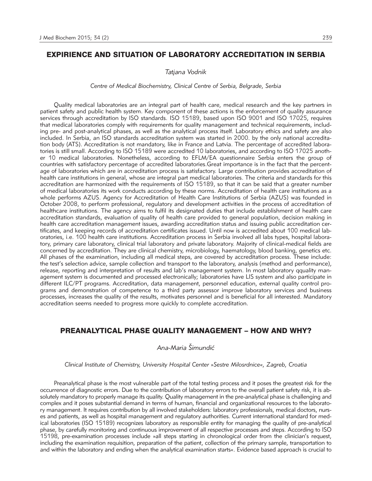# EXPIRIENCE AND SITUATION OF LABORATORY ACCREDITATION IN SERBIA

*Tatjana Vodnik*

*Centre of Medical Biochemistry, Clinical Centre of Serbia, Belgrade, Serbia*

Quality medical laboratories are an integral part of health care, medical research and the key partners in patient safety and public health system. Key component of these actions is the enforcement of quality assurance services through accreditation by ISO standards. ISO 15189, based upon ISO 9001 and ISO 17025, requires that medical laboratories comply with requirements for quality management and technical requirements, including pre- and post-analytical phases, as well as the analytical process itself. Laboratory ethics and safety are also included. In Serbia, an ISO standards accreditation system was started in 2000. by the only national accreditation body (ATS). Accreditation is not mandatory, like in France and Latvia. The percentage of accredited laboratories is still small. According to ISO 15189 were accredited 10 laboratories, and according to ISO 17025 another 10 medical laboratories. Nonetheless, according to EFLM/EA questionnaire Serbia enters the group of countries with satisfactory percentage of accredited laboratories.Great importance is in the fact that the percentage of laboratories which are in accreditation process is satisfactory. Large contribution provides accreditation of health care institutions in general, whose are integral part medical laboratories. The criteria and standards for this accreditation are harmonized with the requirements of ISO 15189, so that it can be said that a greater number of medical laboratories its work conducts according by these norms. Accreditation of health care institutions as a whole performs AZUS. Agency for Accreditation of Health Care Institutions of Serbia (AZUS) was founded in October 2008, to perform professional, regulatory and development activities in the process of accreditation of healthcare institutions. The agency aims to fulfil its designated duties that include establishment of health care accreditation standards, evaluation of quality of health care provided to general population, decision making in health care accreditation management issues, awarding accreditation status and issuing public accreditation certificates, and keeping records of accreditation certificates issued. Until now is accredited about 100 medical laboratories, i.e. 100 health care institutions. Accreditation process in Serbia involved all labs types, hospital laboratory, primary care laboratory, clinical trial laboratory and private laboratory. Majority of clinical-medical fields are concerned by accreditation. They are clinical chemistry, microbiology, haematology, blood banking, genetics etc. All phases of the examination, including all medical steps, are covered by accreditation process. These include: the test's selection advice, sample collection and transport to the laboratory, analysis (method and performance), release, reporting and interpretation of results and lab's management system. In most laboratory qquality management system is documented and processed electronically; laboratories have LIS system and also participate in different ILC/PT programs. Accreditation, data management, personnel education, external quality control programs and demonstration of competence to a third party assessor improve laboratory services and business processes, increases the quality of the results, motivates personnel and is beneficial for all interested. Mandatory accreditation seems needed to progress more quickly to complete accreditation.

# PREANALYTICAL PHASE QUALITY MANAGEMENT – HOW AND WHY?

# *Ana-Maria [imundi}*

*Clinical Institute of Chemistry, University Hospital Center »Sestre Milosrdnice«, Zagreb, Croatia*

Preanalytical phase is the most vulnerable part of the total testing process and it poses the greatest risk for the occurrence of diagnostic errors. Due to the contribution of laboratory errors to the overall patient safety risk, it is absolutely mandatory to properly manage its quality. Quality management in the pre-analytical phase is challenging and complex and it poses substantial demand in terms of human, financial and organizational resources to the laboratory management. It requires contribution by all involved stakeholders: laboratory professionals, medical doctors, nurses and patients, as well as hospital management and regulatory authorities. Current international standard for medical laboratories (ISO 15189) recognizes laboratory as responsible entity for managing the quality of pre-analytical phase, by carefully monitoring and continuous improvement of all respective processes and steps. According to ISO 15198, pre-examination processes include »all steps starting in chronological order from the clinician's request, including the examination requisition, preparation of the patient, collection of the primary sample, transportation to and within the laboratory and ending when the analytical examination starts«. Evidence based approach is crucial to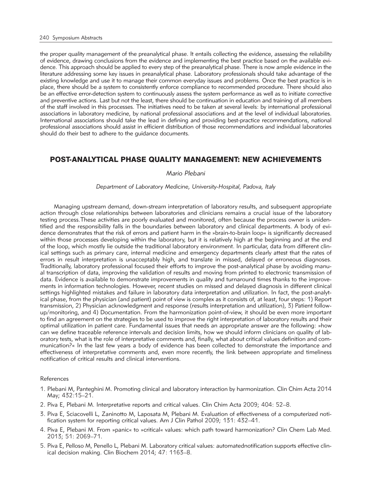the proper quality management of the preanalytical phase. It entails collecting the evidence, assessing the reliability of evidence, drawing conclusions from the evidence and implementing the best practice based on the available evidence. This approach should be applied to every step of the preanalytical phase. There is now ample evidence in the literature addressing some key issues in preanalytical phase. Laboratory professionals should take advantage of the existing knowledge and use it to manage their common everyday issues and problems. Once the best practice is in place, there should be a system to consistently enforce compliance to recommended procedure. There should also be an effective error-detection system to continuously assess the system performance as well as to initiate corrective and preventive actions. Last but not the least, there should be continuation in education and training of all members of the staff involved in this processes. The initiatives need to be taken at several levels: by international professional associations in laboratory medicine, by national professional associations and at the level of individual laboratories. International associations should take the lead in defining and providing best-practice recommendations, national professional associations should assist in efficient distribution of those recommendations and individual laboratories should do their best to adhere to the guidance documents.

# POST-ANALYTICAL PHASE QUALITY MANAGEMENT: NEW ACHIEVEMENTS

## *Mario Plebani*

*Department of Laboratory Medicine, University-Hospital, Padova, Italy*

Managing upstream demand, down-stream interpretation of laboratory results, and subsequent appropriate action through close relationships between laboratories and clinicians remains a crucial issue of the laboratory testing process.These activities are poorly evaluated and monitored, often because the process owner is unidentified and the responsibility falls in the boundaries between laboratory and clinical departments. A body of evidence demonstrates that the risk of errors and patient harm in the »brain-to-brain loop« is significantly decreased within those processes developing within the laboratory, but it is relatively high at the beginning and at the end of the loop, which mostly lie outside the traditional laboratory environment. In particular, data from different clinical settings such as primary care, internal medicine and emergency departments clearly attest that the rates of errors in result interpretation is unacceptably high, and translate in missed, delayed or erroneous diagnoses. Traditionally, laboratory professional focused their efforts to improve the post-analytical phase by avoiding manual transcription of data, improving the validation of results and moving from printed to electronic transmission of data. Evidence is available to demonstrate improvements in quality and turnaround times thanks to the improvements in information technologies. However, recent studies on missed and delayed diagnosis in different clinical settings highlighted mistakes and failure in laboratory data interpretation and utilization. In fact, the post-analytical phase, from the physician (and patient) point of view is complex as it consists of, at least, four steps: 1) Report transmission, 2) Physician acknowledgment and response (results interpretation and utilization), 3) Patient followup/monitoring, and 4) Documentation. From the harmonization point-of-view, it should be even more important to find an agreement on the strategies to be used to improve the right interpretation of laboratory results and their optimal utilization in patient care. Fundamental issues that needs an appropriate answer are the following: »how can we define traceable reference intervals and decision limits, how we should inform clinicians on quality of laboratory tests, what is the role of interpretative comments and, finally, what about critical values definition and communication?« In the last few years a body of evidence has been collected to demonstrate the importance and effectiveness of interpretative comments and, even more recently, the link between appropriate and timeliness notification of critical results and clinical interventions.

#### References

- 1. Plebani M, Panteghini M. Promoting clinical and laboratory interaction by harmonization. Clin Chim Acta 2014 May; 432:15–21.
- 2. Piva E, Plebani M. Interpretative reports and critical values. Clin Chim Acta 2009; 404: 52–8.
- 3. Piva E, Sciacovelli L, Zaninotto M, Laposata M, Plebani M. Evaluation of effectiveness of a computerized notification system for reporting critical values. Am J Clin Pathol 2009; 131: 432–41.
- 4. Piva E, Plebani M. From »panic« to »critical« values: which path toward harmonization? Clin Chem Lab Med. 2013; 51: 2069–71.
- 5. Piva E, Pelloso M, Penello L, Plebani M. Laboratory critical values: automatednotification supports effective clinical decision making. Clin Biochem 2014; 47: 1163–8.